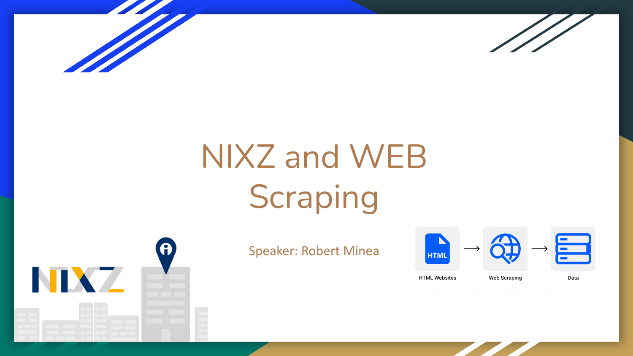



# NIXZ and WEB Scraping



### Speaker: Robert Minea



**HTML Websites** 

Data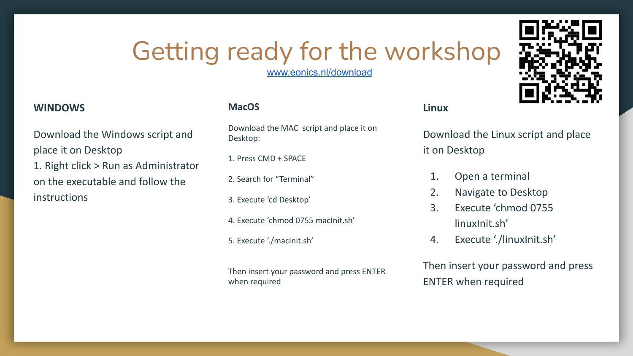## Getting ready for the workshop

[www.eonics.nl/download](http://www.eonics.nl/download)

#### **WINDOWS**

Download the Windows script and place it on Desktop 1. Right click > Run as Administrator on the executable and follow the instructions

#### **MacOS**

Download the MAC script and place it on Desktop:

1. Press CMD + SPACE

2. Search for "Terminal"

3. Execute 'cd Desktop'

4. Execute 'chmod 0755 macInit.sh'

5. Execute './macInit.sh'

Then insert your password and press ENTER when required

#### **Linux**

Download the Linux script and place it on Desktop

- 1. Open a terminal
- 2. Navigate to Desktop
- 3. Execute 'chmod 0755 linuxInit.sh'
- 4. Execute './linuxInit.sh'

Then insert your password and press ENTER when required

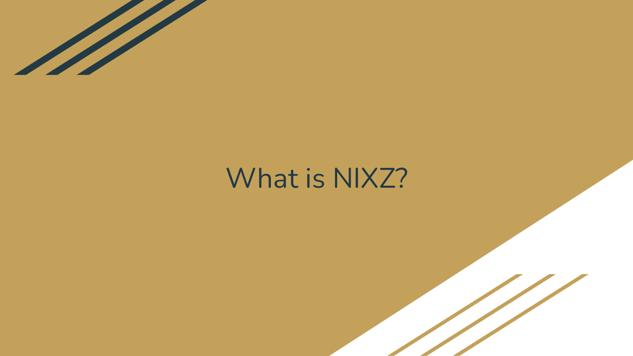

## What is NIXZ?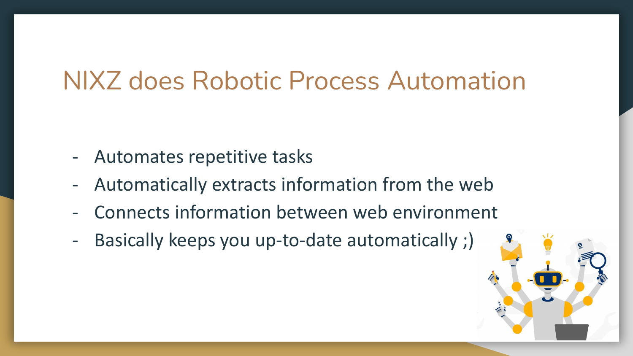## NIXZ does Robotic Process Automation

- Automates repetitive tasks
- Automatically extracts information from the web
- Connects information between web environment
- Basically keeps you up-to-date automatically ;)

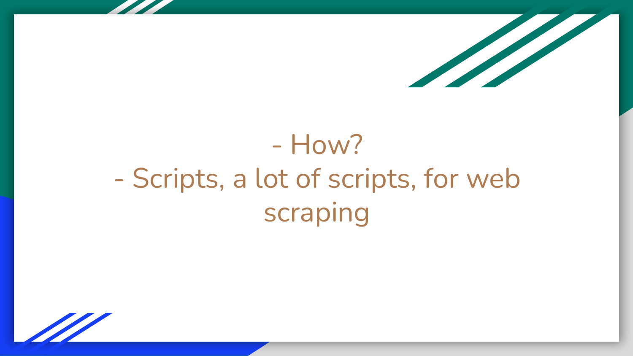

## - How? - Scripts, a lot of scripts, for web scraping

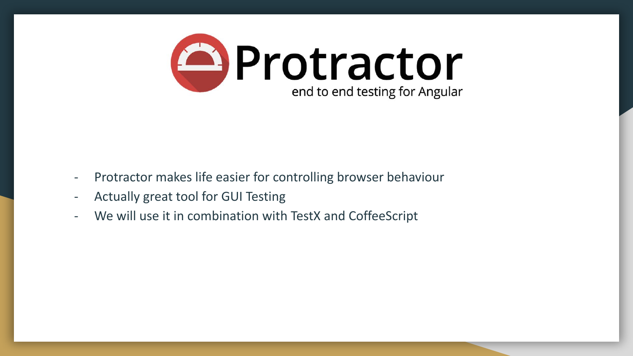

- Protractor makes life easier for controlling browser behaviour
- Actually great tool for GUI Testing
- We will use it in combination with TestX and CoffeeScript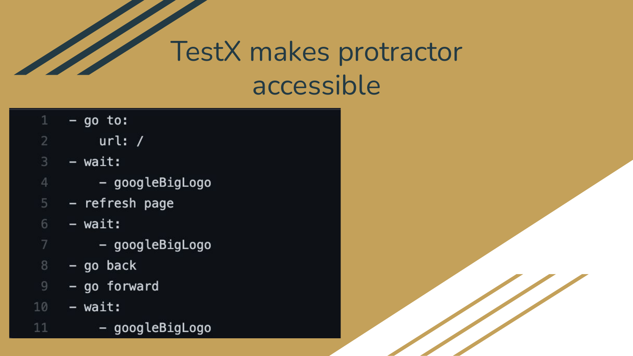## TestX makes protractor accessible

- $-$  go to: 1
- url: /
- 3  $-$  wait:
	- googleBigLogo
- refresh page 5
- 6 - wait:
	- googleBigLogo
- 8  $-$  go back
- go forward  $\overline{9}$
- 10 - wait:

 $11$ 

- googleBigLogo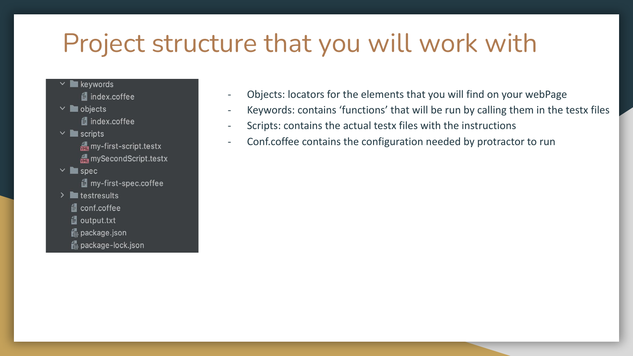### Project structure that you will work with

 $\times$  **M** keywords dindex.coffee  $\vee$  **N**objects **4** index.coffee  $\vee$  **I** scripts my-first-script.testx mySecondScript.testx  $\vee$  **le** spec **■** my-first-spec.coffee  $\sum$  testresults **4** conf.coffee **ill** output.txt package.json package-lock.json

- Objects: locators for the elements that you will find on your webPage
- Keywords: contains 'functions' that will be run by calling them in the testx files
- Scripts: contains the actual testx files with the instructions
- Conf.coffee contains the configuration needed by protractor to run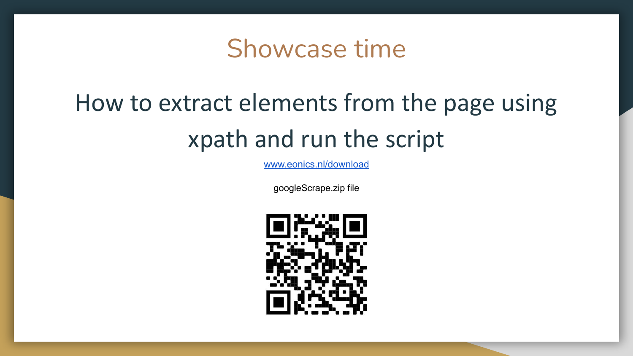### Showcase time

## How to extract elements from the page using xpath and run the script

[www.eonics.nl/download](http://www.eonics.nl/download)

googleScrape.zip file

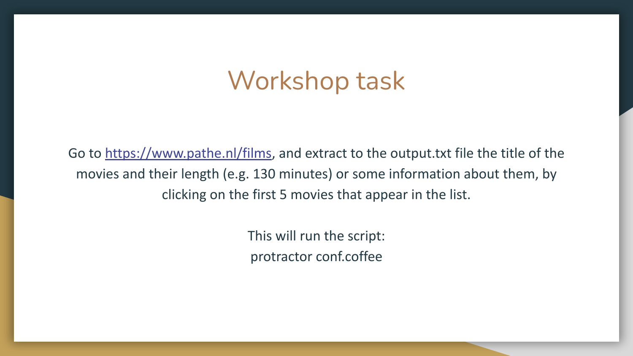### Workshop task

Go to<https://www.pathe.nl/films>, and extract to the output.txt file the title of the movies and their length (e.g. 130 minutes) or some information about them, by clicking on the first 5 movies that appear in the list.

> This will run the script: protractor conf.coffee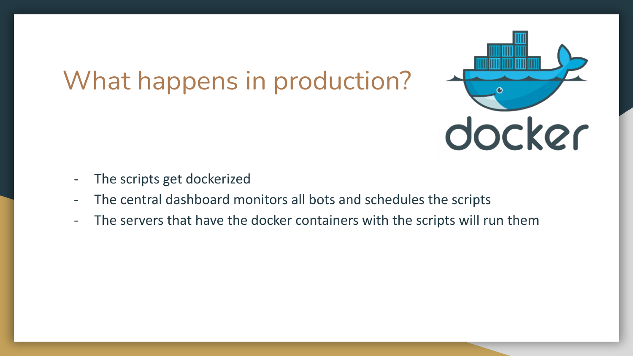## What happens in production?



- The scripts get dockerized
- The central dashboard monitors all bots and schedules the scripts
- The servers that have the docker containers with the scripts will run them